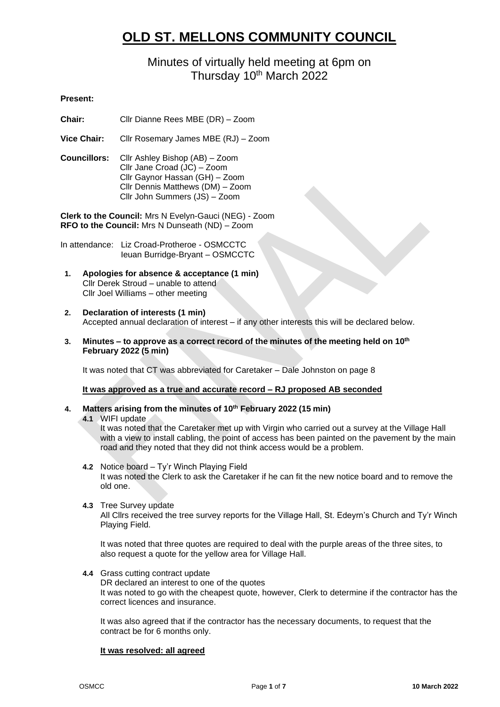# **OLD ST. MELLONS COMMUNITY COUNCIL**

# Minutes of virtually held meeting at 6pm on Thursday 10<sup>th</sup> March 2022

# **Present:**

**Chair:** Cllr Dianne Rees MBE (DR) – Zoom

**Vice Chair:** Cllr Rosemary James MBE (RJ) – Zoom

**Councillors:** Cllr Ashley Bishop (AB) – Zoom Cllr Jane Croad (JC) – Zoom Cllr Gaynor Hassan (GH) – Zoom Cllr Dennis Matthews (DM) – Zoom Cllr John Summers (JS) – Zoom

**Clerk to the Council:** Mrs N Evelyn-Gauci (NEG) - Zoom **RFO to the Council:** Mrs N Dunseath (ND) – Zoom

In attendance: Liz Croad-Protheroe - OSMCCTC Ieuan Burridge-Bryant – OSMCCTC

- **1. Apologies for absence & acceptance (1 min)** Cllr Derek Stroud – unable to attend Cllr Joel Williams – other meeting
- **2. Declaration of interests (1 min)** Accepted annual declaration of interest – if any other interests this will be declared below.
- **3. Minutes – to approve as a correct record of the minutes of the meeting held on 10th February 2022 (5 min)**

It was noted that CT was abbreviated for Caretaker – Dale Johnston on page 8

#### **It was approved as a true and accurate record – RJ proposed AB seconded**

#### **4. Matters arising from the minutes of 10th February 2022 (15 min)**

**4.1** WIFI update

It was noted that the Caretaker met up with Virgin who carried out a survey at the Village Hall with a view to install cabling, the point of access has been painted on the pavement by the main road and they noted that they did not think access would be a problem.

**4.2** Notice board – Ty'r Winch Playing Field

It was noted the Clerk to ask the Caretaker if he can fit the new notice board and to remove the old one.

**4.3** Tree Survey update

All Cllrs received the tree survey reports for the Village Hall, St. Edeyrn's Church and Ty'r Winch Playing Field.

It was noted that three quotes are required to deal with the purple areas of the three sites, to also request a quote for the yellow area for Village Hall.

**4.4** Grass cutting contract update

DR declared an interest to one of the quotes It was noted to go with the cheapest quote, however, Clerk to determine if the contractor has the correct licences and insurance.

It was also agreed that if the contractor has the necessary documents, to request that the contract be for 6 months only.

#### **It was resolved: all agreed**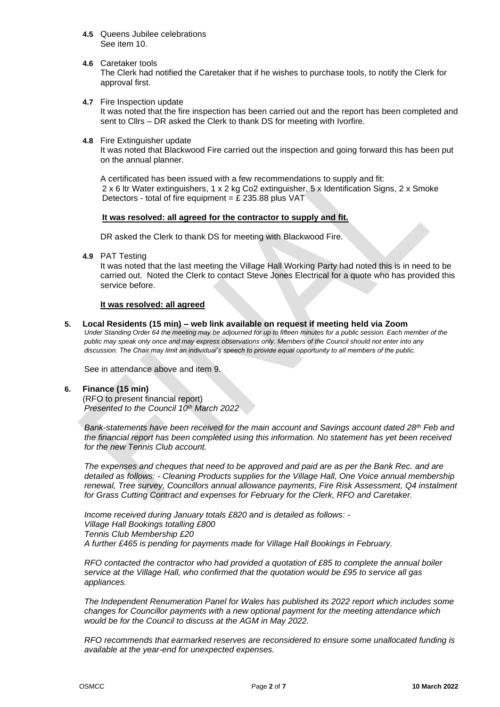- **4.5** Queens Jubilee celebrations See item 10.
- **4.6** Caretaker tools

The Clerk had notified the Caretaker that if he wishes to purchase tools, to notify the Clerk for approval first.

**4.7** Fire Inspection update

It was noted that the fire inspection has been carried out and the report has been completed and sent to Cllrs – DR asked the Clerk to thank DS for meeting with Ivorfire.

**4.8** Fire Extinguisher update

It was noted that Blackwood Fire carried out the inspection and going forward this has been put on the annual planner.

A certificated has been issued with a few recommendations to supply and fit: 2 x 6 ltr Water extinguishers, 1 x 2 kg Co2 extinguisher, 5 x Identification Signs, 2 x Smoke Detectors - total of fire equipment =  $£$  235.88 plus VAT

#### **It was resolved: all agreed for the contractor to supply and fit.**

DR asked the Clerk to thank DS for meeting with Blackwood Fire.

**4.9** PAT Testing

It was noted that the last meeting the Village Hall Working Party had noted this is in need to be carried out. Noted the Clerk to contact Steve Jones Electrical for a quote who has provided this service before.

#### **It was resolved: all agreed**

**5. Local Residents (15 min) – web link available on request if meeting held via Zoom**

*Under Standing Order 64 the meeting may be adjourned for up to fifteen minutes for a public session. Each member of the public may speak only once and may express observations only. Members of the Council should not enter into any discussion. The Chair may limit an individual's speech to provide equal opportunity to all members of the public.*

See in attendance above and item 9.

#### **6. Finance (15 min)**

(RFO to present financial report) *Presented to the Council 10th March 2022*

*Bank-statements have been received for the main account and Savings account dated 28th Feb and the financial report has been completed using this information. No statement has yet been received for the new Tennis Club account.*

*The expenses and cheques that need to be approved and paid are as per the Bank Rec. and are detailed as follows: - Cleaning Products supplies for the Village Hall, One Voice annual membership renewal, Tree survey, Councillors annual allowance payments, Fire Risk Assessment, Q4 instalment for Grass Cutting Contract and expenses for February for the Clerk, RFO and Caretaker.*

*Income received during January totals £820 and is detailed as follows: - Village Hall Bookings totalling £800 Tennis Club Membership £20 A further £465 is pending for payments made for Village Hall Bookings in February.*

*RFO contacted the contractor who had provided a quotation of £85 to complete the annual boiler service at the Village Hall, who confirmed that the quotation would be £95 to service all gas appliances.* 

*The Independent Renumeration Panel for Wales has published its 2022 report which includes some changes for Councillor payments with a new optional payment for the meeting attendance which would be for the Council to discuss at the AGM in May 2022.*

*RFO recommends that earmarked reserves are reconsidered to ensure some unallocated funding is available at the year-end for unexpected expenses.*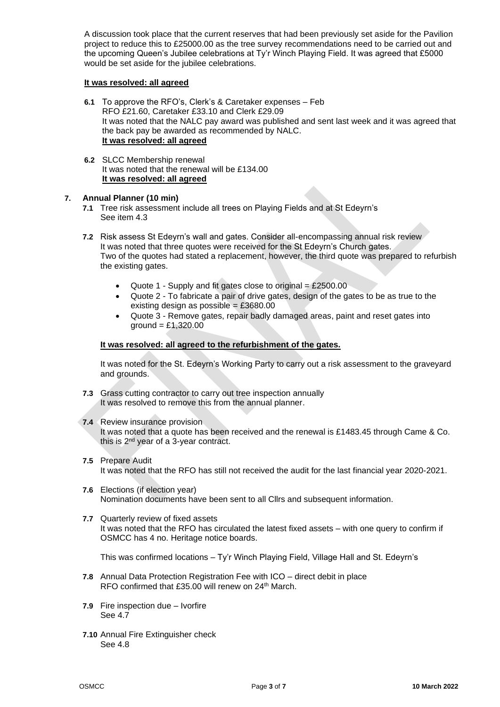A discussion took place that the current reserves that had been previously set aside for the Pavilion project to reduce this to £25000.00 as the tree survey recommendations need to be carried out and the upcoming Queen's Jubilee celebrations at Ty'r Winch Playing Field. It was agreed that £5000 would be set aside for the jubilee celebrations.

# **It was resolved: all agreed**

- **6.1** To approve the RFO's, Clerk's & Caretaker expenses Feb RFO £21.60, Caretaker £33.10 and Clerk £29.09 It was noted that the NALC pay award was published and sent last week and it was agreed that the back pay be awarded as recommended by NALC. **It was resolved: all agreed**
- **6.2** SLCC Membership renewal It was noted that the renewal will be £134.00 **It was resolved: all agreed**

# **7. Annual Planner (10 min)**

- **7.1** Tree risk assessment include all trees on Playing Fields and at St Edeyrn's See item 4.3
- **7.2** Risk assess St Edeyrn's wall and gates. Consider all-encompassing annual risk review It was noted that three quotes were received for the St Edeyrn's Church gates. Two of the quotes had stated a replacement, however, the third quote was prepared to refurbish the existing gates.
	- Quote 1 Supply and fit gates close to original  $=$  £2500.00
	- Quote 2 To fabricate a pair of drive gates, design of the gates to be as true to the existing design as possible =  $£3680.00$
	- Quote 3 Remove gates, repair badly damaged areas, paint and reset gates into  $ground = £1,320.00$

# **It was resolved: all agreed to the refurbishment of the gates.**

It was noted for the St. Edeyrn's Working Party to carry out a risk assessment to the graveyard and grounds.

- **7.3** Grass cutting contractor to carry out tree inspection annually It was resolved to remove this from the annual planner.
- **7.4** Review insurance provision It was noted that a quote has been received and the renewal is £1483.45 through Came & Co. this is 2nd year of a 3-year contract.
- **7.5** Prepare Audit It was noted that the RFO has still not received the audit for the last financial year 2020-2021.
- **7.6** Elections (if election year) Nomination documents have been sent to all Cllrs and subsequent information.
- **7.7** Quarterly review of fixed assets It was noted that the RFO has circulated the latest fixed assets – with one query to confirm if OSMCC has 4 no. Heritage notice boards.

This was confirmed locations – Ty'r Winch Playing Field, Village Hall and St. Edeyrn's

- **7.8** Annual Data Protection Registration Fee with ICO direct debit in place RFO confirmed that £35.00 will renew on 24<sup>th</sup> March.
- **7.9** Fire inspection due Ivorfire See 4.7
- **7.10** Annual Fire Extinguisher check See 4.8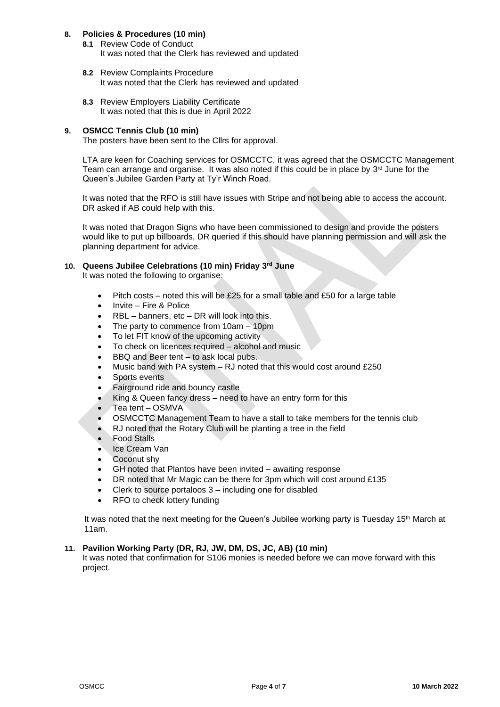# **8. Policies & Procedures (10 min)**

- **8.1** Review Code of Conduct It was noted that the Clerk has reviewed and updated
- **8.2** Review Complaints Procedure It was noted that the Clerk has reviewed and updated
- **8.3** Review Employers Liability Certificate It was noted that this is due in April 2022

# **9. OSMCC Tennis Club (10 min)**

The posters have been sent to the Cllrs for approval.

LTA are keen for Coaching services for OSMCCTC, it was agreed that the OSMCCTC Management Team can arrange and organise. It was also noted if this could be in place by  $3<sup>rd</sup>$  June for the Queen's Jubilee Garden Party at Ty'r Winch Road.

It was noted that the RFO is still have issues with Stripe and not being able to access the account. DR asked if AB could help with this.

It was noted that Dragon Signs who have been commissioned to design and provide the posters would like to put up billboards, DR queried if this should have planning permission and will ask the planning department for advice.

# **10. Queens Jubilee Celebrations (10 min) Friday 3rd June**

It was noted the following to organise:

- Pitch costs noted this will be £25 for a small table and £50 for a large table
- Invite Fire & Police
- RBL banners, etc DR will look into this.
- The party to commence from 10am 10pm
- To let FIT know of the upcoming activity
- To check on licences required alcohol and music
- BBQ and Beer tent to ask local pubs.
- Music band with PA system RJ noted that this would cost around £250
- Sports events
- Fairground ride and bouncy castle
- King & Queen fancy dress need to have an entry form for this
- Tea tent OSMVA
- OSMCCTC Management Team to have a stall to take members for the tennis club
- RJ noted that the Rotary Club will be planting a tree in the field
- Food Stalls
- Ice Cream Van
- Coconut shy
- GH noted that Plantos have been invited awaiting response
- DR noted that Mr Magic can be there for 3pm which will cost around £135
- Clerk to source portaloos  $3$  including one for disabled
- RFO to check lottery funding

It was noted that the next meeting for the Queen's Jubilee working party is Tuesday 15<sup>th</sup> March at 11am.

#### **11. Pavilion Working Party (DR, RJ, JW, DM, DS, JC, AB) (10 min)**

It was noted that confirmation for S106 monies is needed before we can move forward with this project.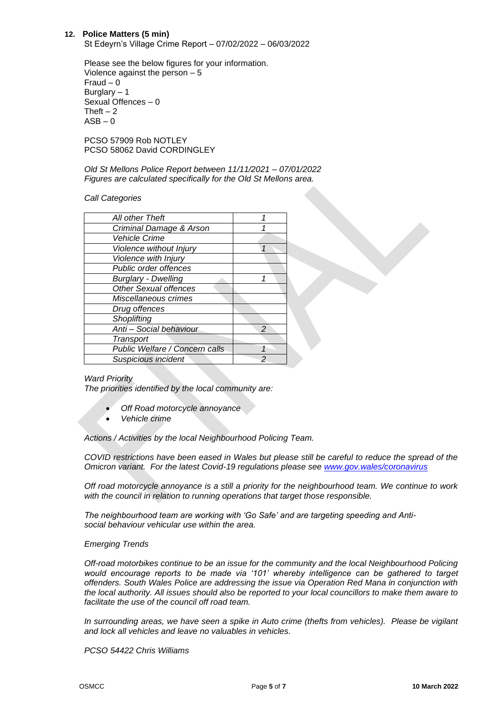#### **12. Police Matters (5 min)**

St Edeyrn's Village Crime Report – 07/02/2022 – 06/03/2022

Please see the below figures for your information. Violence against the person – 5 Fraud – 0 Burglary – 1 Sexual Offences – 0 Theft  $-2$  $ASB - 0$ 

PCSO 57909 Rob NOTLEY PCSO 58062 David CORDINGLEY

*Old St Mellons Police Report between 11/11/2021 – 07/01/2022 Figures are calculated specifically for the Old St Mellons area.*

#### *Call Categories*

| All other Theft                |                |
|--------------------------------|----------------|
| Criminal Damage & Arson        |                |
| <b>Vehicle Crime</b>           |                |
| Violence without Injury        | 1              |
| Violence with Injury           |                |
| <b>Public order offences</b>   |                |
| <b>Burglary - Dwelling</b>     | 1              |
| Other Sexual offences          |                |
| Miscellaneous crimes           |                |
| Drug offences                  |                |
| Shoplifting                    |                |
| Anti - Social behaviour        | $\overline{a}$ |
| Transport                      |                |
| Public Welfare / Concern calls |                |
| Suspicious incident            |                |

#### *Ward Priority*

*The priorities identified by the local community are:*

- *Off Road motorcycle annoyance*
- *Vehicle crime*

*Actions / Activities by the local Neighbourhood Policing Team.*

*COVID restrictions have been eased in Wales but please still be careful to reduce the spread of the Omicron variant. For the latest Covid-19 regulations please see [www.gov.wales/coronavirus](http://www.gov.wales/coronavirus)*

*Off road motorcycle annoyance is a still a priority for the neighbourhood team. We continue to work with the council in relation to running operations that target those responsible.* 

*The neighbourhood team are working with 'Go Safe' and are targeting speeding and Antisocial behaviour vehicular use within the area.* 

#### *Emerging Trends*

*Off-road motorbikes continue to be an issue for the community and the local Neighbourhood Policing*  would encourage reports to be made via '101' whereby intelligence can be gathered to target *offenders. South Wales Police are addressing the issue via Operation Red Mana in conjunction with the local authority. All issues should also be reported to your local councillors to make them aware to facilitate the use of the council off road team.*

*In surrounding areas, we have seen a spike in Auto crime (thefts from vehicles). Please be vigilant and lock all vehicles and leave no valuables in vehicles.*

*PCSO 54422 Chris Williams*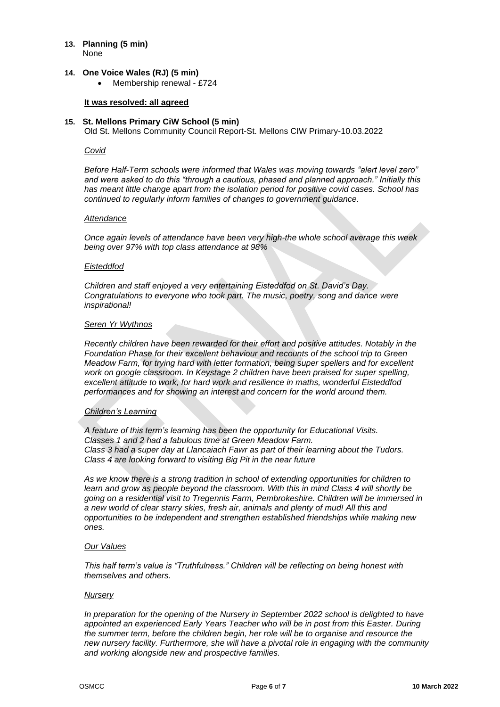#### **13. Planning (5 min)** None

#### **14. One Voice Wales (RJ) (5 min)**

• Membership renewal - £724

### **It was resolved: all agreed**

# **15. St. Mellons Primary CiW School (5 min)**

Old St. Mellons Community Council Report-St. Mellons CIW Primary-10.03.2022

#### *Covid*

*Before Half-Term schools were informed that Wales was moving towards "alert level zero" and were asked to do this "through a cautious, phased and planned approach." Initially this has meant little change apart from the isolation period for positive covid cases. School has continued to regularly inform families of changes to government guidance.*

#### *Attendance*

*Once again levels of attendance have been very high-the whole school average this week being over 97% with top class attendance at 98%*

#### *Eisteddfod*

*Children and staff enjoyed a very entertaining Eisteddfod on St. David's Day. Congratulations to everyone who took part. The music, poetry, song and dance were inspirational!*

#### *Seren Yr Wythnos*

*Recently children have been rewarded for their effort and positive attitudes. Notably in the Foundation Phase for their excellent behaviour and recounts of the school trip to Green Meadow Farm, for trying hard with letter formation, being super spellers and for excellent work on google classroom. In Keystage 2 children have been praised for super spelling, excellent attitude to work, for hard work and resilience in maths, wonderful Eisteddfod performances and for showing an interest and concern for the world around them.*

#### *Children's Learning*

*A feature of this term's learning has been the opportunity for Educational Visits. Classes 1 and 2 had a fabulous time at Green Meadow Farm. Class 3 had a super day at Llancaiach Fawr as part of their learning about the Tudors. Class 4 are looking forward to visiting Big Pit in the near future*

*As we know there is a strong tradition in school of extending opportunities for children to learn and grow as people beyond the classroom. With this in mind Class 4 will shortly be going on a residential visit to Tregennis Farm, Pembrokeshire. Children will be immersed in a new world of clear starry skies, fresh air, animals and plenty of mud! All this and opportunities to be independent and strengthen established friendships while making new ones.*

## *Our Values*

*This half term's value is "Truthfulness." Children will be reflecting on being honest with themselves and others.*

#### *Nursery*

*In preparation for the opening of the Nursery in September 2022 school is delighted to have appointed an experienced Early Years Teacher who will be in post from this Easter. During the summer term, before the children begin, her role will be to organise and resource the new nursery facility. Furthermore, she will have a pivotal role in engaging with the community and working alongside new and prospective families.*